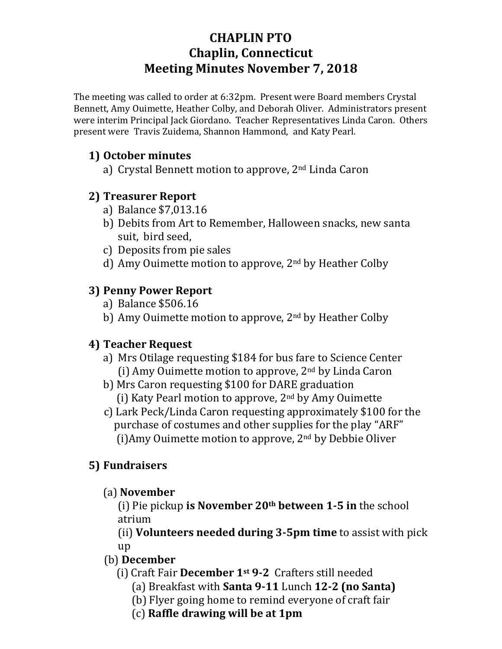# **CHAPLIN PTO Chaplin, Connecticut Meeting Minutes November 7, 2018**

The meeting was called to order at 6:32pm. Present were Board members Crystal Bennett, Amy Ouimette, Heather Colby, and Deborah Oliver. Administrators present were interim Principal Jack Giordano. Teacher Representatives Linda Caron. Others present were Travis Zuidema, Shannon Hammond, and Katy Pearl.

#### **1) October minutes**

a) Crystal Bennett motion to approve, 2nd Linda Caron

## **2) Treasurer Report**

- a) Balance \$7,013.16
- b) Debits from Art to Remember, Halloween snacks, new santa suit, bird seed,
- c) Deposits from pie sales
- d) Amy Ouimette motion to approve, 2nd by Heather Colby

## **3) Penny Power Report**

- a) Balance \$506.16
- b) Amy Ouimette motion to approve, 2<sup>nd</sup> by Heather Colby

## **4) Teacher Request**

- a) Mrs Otilage requesting \$184 for bus fare to Science Center (i) Amy Ouimette motion to approve,  $2<sup>nd</sup>$  by Linda Caron
- b) Mrs Caron requesting \$100 for DARE graduation
	- (i) Katy Pearl motion to approve,  $2<sup>nd</sup>$  by Amy Ouimette
- c) Lark Peck/Linda Caron requesting approximately \$100 for the purchase of costumes and other supplies for the play "ARF" (i)Amy Ouimette motion to approve, 2nd by Debbie Oliver

## **5) Fundraisers**

(a) **November**

(i) Pie pickup **is November 20th between 1-5 in** the school atrium

(ii) **Volunteers needed during 3-5pm time** to assist with pick up

## (b) **December**

- (i) Craft Fair **December 1st 9-2** Crafters still needed
	- (a) Breakfast with **Santa 9-11** Lunch **12-2 (no Santa)**
	- (b) Flyer going home to remind everyone of craft fair
	- (c) **Raffle drawing will be at 1pm**